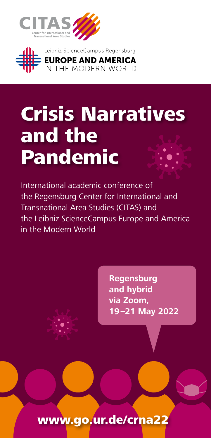



# Crisis Narratives and the Pandemic

International academic conference of the Regensburg Center for International and Transnational Area Studies (CITAS) and the Leibniz ScienceCampus Europe and America in the Modern World

> **Regensburg and hybrid via Zoom, 19–21 May 2022**

www.go.ur.de/crna22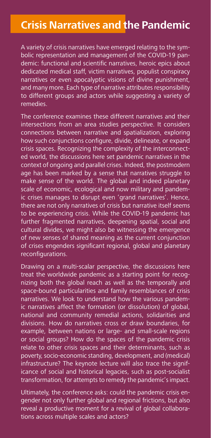# **Crisis Narratives and the Pandemic**

A variety of crisis narratives have emerged relating to the symbolic representation and management of the COVID-19 pandemic: functional and scientific narratives, heroic epics about dedicated medical staff, victim narratives, populist conspiracy narratives or even apocalyptic visions of divine punishment, and many more. Each type of narrative attributes responsibility to different groups and actors while suggesting a variety of remedies.

The conference examines these different narratives and their intersections from an area studies perspective. It considers connections between narrative and spatialization, exploring how such conjunctions configure, divide, delineate, or expand crisis spaces. Recognizing the complexity of the interconnected world, the discussions here set pandemic narratives in the context of ongoing and parallel crises. Indeed, the postmodern age has been marked by a sense that narratives struggle to make sense of the world. The global and indeed planetary scale of economic, ecological and now military and pandemic crises manages to disrupt even 'grand narratives'. Hence, there are not only narratives of crisis but narrative itself seems to be experiencing crisis. While the COVID-19 pandemic has further fragmented narratives, deepening spatial, social and cultural divides, we might also be witnessing the emergence of new senses of shared meaning as the current conjunction of crises engenders significant regional, global and planetary reconfigurations.

Drawing on a multi-scalar perspective, the discussions here treat the worldwide pandemic as a starting point for recognizing both the global reach as well as the temporally and space-bound particularities and family resemblances of crisis narratives. We look to understand how the various pandemic narratives affect the formation (or dissolution) of global, national and community remedial actions, solidarities and divisions. How do narratives cross or draw boundaries, for example, between nations or large- and small-scale regions or social groups? How do the spaces of the pandemic crisis relate to other crisis spaces and their determinants, such as poverty, socio-economic standing, development, and (medical) infrastructure? The keynote lecture will also trace the significance of social and historical legacies, such as post-socialist transformation, for attempts to remedy the pandemic's impact.

Ultimately, the conference asks: could the pandemic crisis engender not only further global and regional frictions, but also reveal a productive moment for a revival of global collaborations across multiple scales and actors?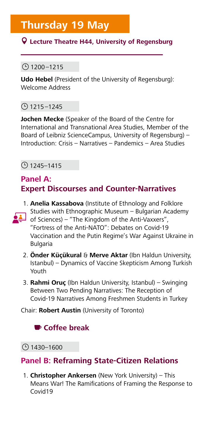#### **Lecture Theatre H44, University of Regensburg**

#### $($ ) 1200–1215

**Udo Hebel** (President of the University of Regensburg): Welcome Address

#### $($ 9 1215–1245

**Jochen Mecke** (Speaker of the Board of the Centre for International and Transnational Area Studies, Member of the Board of Leibniz ScienceCampus, University of Regensburg) – Introduction: Crisis – Narratives – Pandemics – Area Studies

#### $\odot$  1245–1415

### **Panel A: Expert Discourses and Counter-Narratives**

- 1. **Anelia Kassabova** (Institute of Ethnology and Folklore Studies with Ethnographic Museum – Bulgarian Academy of Sciences) – "The Kingdom of the Anti-Vaxxers", "Fortress of the Anti-NATO": Debates on Covid-19 Vaccination and the Putin Regime's War Against Ukraine in Bulgaria
- 2. **Önder Küçükural** & **Merve Aktar** (Ibn Haldun University, Istanbul) – Dynamics of Vaccine Skepticism Among Turkish Youth
- 3. **Rahmi Oruç** (Ibn Haldun University, Istanbul) Swinging Between Two Pending Narratives: The Reception of Covid-19 Narratives Among Freshmen Students in Turkey

Chair: **Robert Austin** (University of Toronto)

# **Coffee break**

 $($ ) 1430–1600

# **Panel B: Reframing State-Citizen Relations**

1. **Christopher Ankersen** (New York University) – This Means War! The Ramifications of Framing the Response to Covid19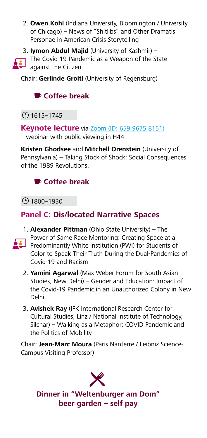- 2. **Owen Kohl** (Indiana University, Bloomington / University of Chicago) – News of "Shitlibs" and Other Dramatis Personae in American Crisis Storytelling
- 3. **Iymon Abdul Majid** (University of Kashmir) –



Chair: **Gerlinde Groitl** (University of Regensburg)

# **Coffee break**

 $\circ$  1615–1745

**Keynote lecture** via **Zoom** (ID: 659 9675 8151) – webinar with public viewing in H44

**Kristen Ghodsee** and **Mitchell Orenstein** (University of Pennsylvania) – Taking Stock of Shock: Social Consequences of the 1989 Revolutions.

# **Coffee break**

} 1800–1930

# **Panel C: Dis/located Narrative Spaces**

- 1. **Alexander Pittman** (Ohio State University) The Power of Same Race Mentoring: Creating Space at a **Predominantly White Institution (PWI) for Students of** Color to Speak Their Truth During the Dual-Pandemics of Covid-19 and Racism
	- 2. **Yamini Agarwal** (Max Weber Forum for South Asian Studies, New Delhi) – Gender and Education: Impact of the Covid-19 Pandemic in an Unauthorized Colony in New Delhi
	- 3. **Avishek Ray** (IFK International Research Center for Cultural Studies, Linz / National Institute of Technology, Silchar) – Walking as a Metaphor: COVID Pandemic and the Politics of Mobility

Chair: **Jean-Marc Moura** (Paris Nanterre / Leibniz Science-Campus Visiting Professor)

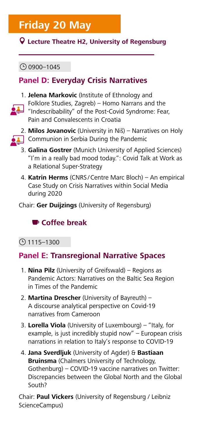# **Friday 20 May**

#### **Lecture Theatre H2, University of Regensburg**

#### $\bigcirc$  0900–1045

# **Panel D: Everyday Crisis Narratives**



1. **Jelena Markovic** (Institute of Ethnology and Folklore Studies, Zagreb) – Homo Narrans and the "Indescribability" of the Post-Covid Syndrome: Fear, Pain and Convalescents in Croatia



2. **Milos Jovanovic** (University in Niš) – Narratives on Holy Communion in Serbia During the Pandemic

- 3. **Galina Gostrer** (Munich University of Applied Sciences) "I'm in a really bad mood today.": Covid Talk at Work as a Relational Super-Strategy
- 4. **Katrin Herms** (CNRS /Centre Marc Bloch) An empirical Case Study on Crisis Narratives within Social Media during 2020

Chair: **Ger Duijzings** (University of Regensburg)

# **Coffee break**

#### $($ 9 1115–1300

#### **Panel E: Transregional Narrative Spaces**

- 1. **Nina Pilz** (University of Greifswald) Regions as Pandemic Actors: Narratives on the Baltic Sea Region in Times of the Pandemic
- 2. **Martina Drescher** (University of Bayreuth) A discourse analytical perspective on Covid-19 narratives from Cameroon
- 3. **Lorella Viola** (University of Luxembourg) "Italy, for example, is just incredibly stupid now" – European crisis narrations in relation to Italy's response to COVID-19
- 4. **Jana Sverdljuk** (University of Agder) & **Bastiaan Bruinsma** (Chalmers University of Technology, Gothenburg) – COVID-19 vaccine narratives on Twitter: Discrepancies between the Global North and the Global South?

Chair: **Paul Vickers** (University of Regensburg / Leibniz ScienceCampus)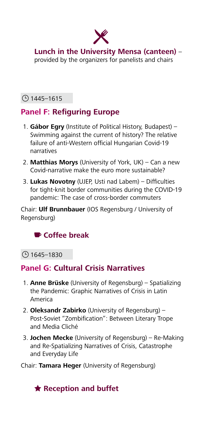

**Lunch in the University Mensa (canteen)** – provided by the organizers for panelists and chairs

#### $\bigcirc$  1445–1615

# **Panel F: Refiguring Europe**

- 1. **Gábor Egry** (Institute of Political History, Budapest) Swimming against the current of history? The relative failure of anti-Western official Hungarian Covid-19 narratives
- 2. **Matthias Morys** (University of York, UK) Can a new Covid-narrative make the euro more sustainable?
- 3. **Lukas Novotny** (UJEP, Usti nad Labem) Difficulties for tight-knit border communities during the COVID-19 pandemic: The case of cross-border commuters

Chair: **Ulf Brunnbauer** (IOS Regensburg / University of Regensburg)

# **Coffee break**

#### $\bigcirc$  1645–1830

# **Panel G: Cultural Crisis Narratives**

- 1. **Anne Brüske** (University of Regensburg) Spatializing the Pandemic: Graphic Narratives of Crisis in Latin America
- 2. **Oleksandr Zabirko** (University of Regensburg) Post-Soviet "Zombification": Between Literary Trope and Media Cliché
- 3. **Jochen Mecke** (University of Regensburg) Re-Making and Re-Spatializing Narratives of Crisis, Catastrophe and Everyday Life

#### Chair: **Tamara Heger** (University of Regensburg)

# **Reception and buffet**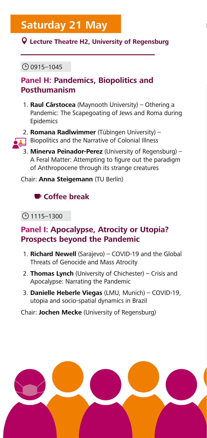# **Saturday 21 May**

#### **Lecture Theatre H2, University of Regensburg**

#### $\bigcirc$  0915–1045

# **Panel H: Pandemics, Biopolitics and Posthumanism**

1. **Raul Cârstocea** (Maynooth University) – Othering a Pandemic: The Scapegoating of Jews and Roma during Epidemics



- 2. **Romana Radlwimmer** (Tübingen University) Biopolitics and the Narrative of Colonial Illness
- 3. **Minerva Peinador-Perez** (University of Regensburg) A Feral Matter: Attempting to figure out the paradigm of Anthropocene through its strange creatures

Chair: **Anna Steigemann** (TU Berlin)

# **Coffee break**

#### $O$  1115–1300

# **Panel I: Apocalypse, Atrocity or Utopia? Prospects beyond the Pandemic**

- 1. **Richard Newell** (Sarajevo) COVID-19 and the Global Threats of Genocide and Mass Atrocity
- 2. **Thomas Lynch** (University of Chichester) Crisis and Apocalypse: Narrating the Pandemic
- 3. **Danielle Heberle Viegas** (LMU, Munich) COVID-19, utopia and socio-spatial dynamics in Brazil

Chair: **Jochen Mecke** (University of Regensburg)